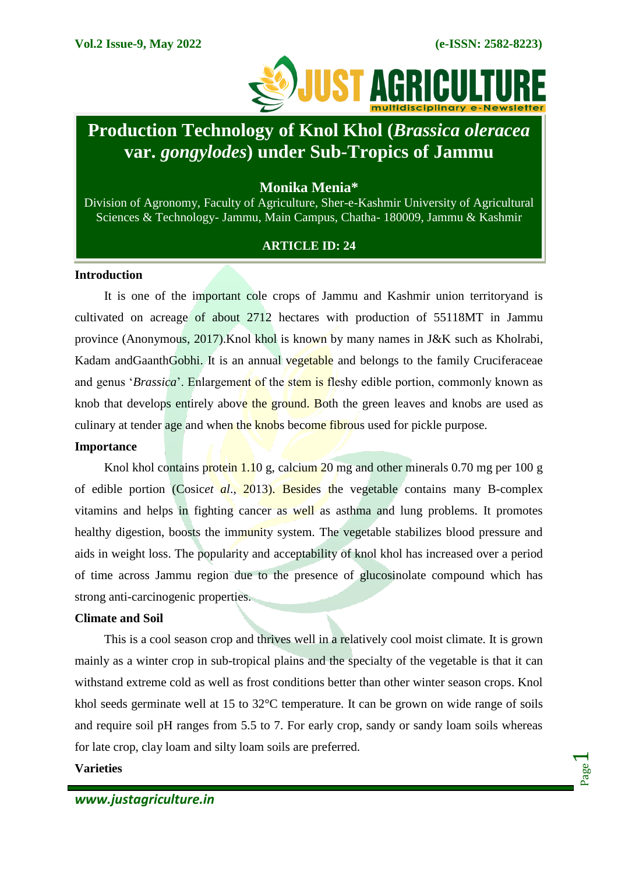

# **Production Technology of Knol Khol (***Brassica oleracea* **var.** *gongylodes***) under Sub-Tropics of Jammu**

# **Monika Menia\***

Division of Agronomy, Faculty of Agriculture, Sher-e-Kashmir University of Agricultural Sciences & Technology- Jammu, Main Campus, Chatha- 180009, Jammu & Kashmir

# **ARTICLE ID: 24**

# **Introduction**

It is one of the important cole crops of Jammu and Kashmir union territoryand is cultivated on acreage of about 2712 hectares with production of 55118MT in Jammu province (Anonymous, 2017).Knol khol is known by many names in J&K such as Kholrabi, Kadam and Gaanth Gobhi. It is an annual vegetable and belongs to the family Cruciferaceae and genus '*Brassica*'. Enlargement of the stem is fleshy edible portion, commonly known as knob that develops entirely above the ground. Both the green leaves and knobs are used as culinary at tender age and when the knobs become fibrous used for pickle purpose.

#### **Importance**

Knol khol contains protein 1.10 g, calcium 20 mg and other minerals 0.70 mg per 100 g of edible portion (Cosic*et al*., 2013). Besides the vegetable contains many B-complex vitamins and helps in fighting cancer as well as asthma and lung problems. It promotes healthy digestion, boosts the immunity system. The vegetable stabilizes blood pressure and aids in weight loss. The popularity and acceptability of knol khol has increased over a period of time across Jammu region due to the presence of glucosinolate compound which has strong anti-carcinogenic properties.

#### **Climate and Soil**

This is a cool season crop and thrives well in a relatively cool moist climate. It is grown mainly as a winter crop in sub-tropical plains and the specialty of the vegetable is that it can withstand extreme cold as well as frost conditions better than other winter season crops. Knol khol seeds germinate well at 15 to 32°C temperature. It can be grown on wide range of soils and require soil pH ranges from 5.5 to 7. For early crop, sandy or sandy loam soils whereas for late crop, clay loam and silty loam soils are preferred.

#### **Varieties**

Page  $\overline{\phantom{0}}$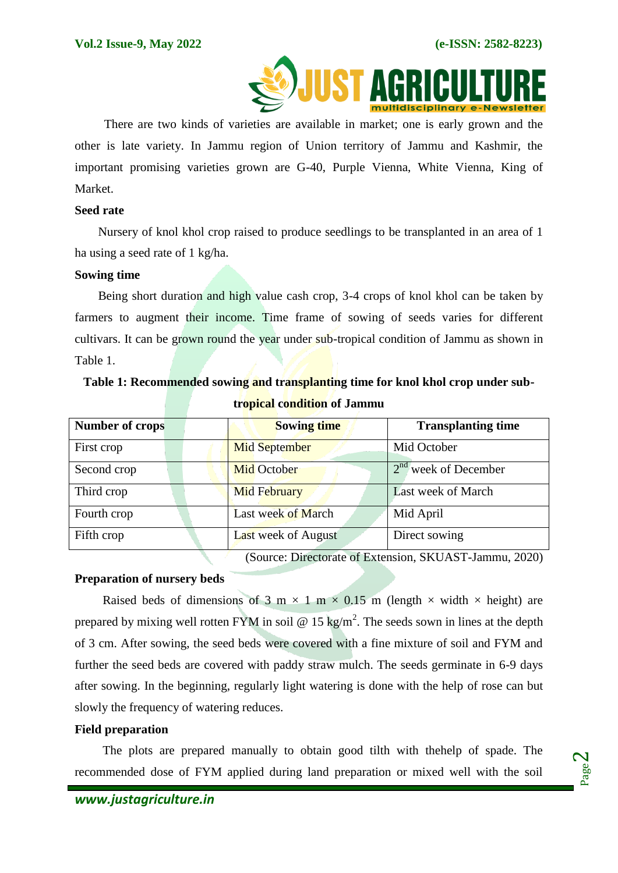

There are two kinds of varieties are available in market; one is early grown and the other is late variety. In Jammu region of Union territory of Jammu and Kashmir, the important promising varieties grown are G-40, Purple Vienna, White Vienna, King of Market.

#### **Seed rate**

Nursery of knol khol crop raised to produce seedlings to be transplanted in an area of 1 ha using a seed rate of 1 kg/ha.

#### **Sowing time**

Being short duration and high value cash crop, 3-4 crops of knol khol can be taken by farmers to augment their income. Time frame of sowing of seeds varies for different cultivars. It can be grown round the year under sub-tropical condition of Jammu as shown in Table 1.  $\sim$   $\sim$   $\sim$   $\sim$ 

|  |  |  | Table 1: Recommended sowing and transplanting time for knol khol crop under sub- |  |
|--|--|--|----------------------------------------------------------------------------------|--|
|  |  |  | tropical condition of Jammu                                                      |  |

| <b>Number of crops</b> | <b>Sowing time</b>         | <b>Transplanting time</b> |
|------------------------|----------------------------|---------------------------|
| First crop             | <b>Mid September</b>       | Mid October               |
| Second crop            | <b>Mid October</b>         | $2nd$ week of December    |
| Third crop             | <b>Mid February</b>        | Last week of March        |
| Fourth crop            | Last week of March         | Mid April                 |
| Fifth crop             | <b>Last week of August</b> | Direct sowing             |

(Source: Directorate of Extension, SKUAST-Jammu, 2020)

#### **Preparation of nursery beds**

Raised beds of dimensions of 3 m  $\times$  1 m  $\times$  0.15 m (length  $\times$  width  $\times$  height) are prepared by mixing well rotten FYM in soil @ 15 kg/m<sup>2</sup>. The seeds sown in lines at the depth of 3 cm. After sowing, the seed beds were covered with a fine mixture of soil and FYM and further the seed beds are covered with paddy straw mulch. The seeds germinate in 6-9 days after sowing. In the beginning, regularly light watering is done with the help of rose can but slowly the frequency of watering reduces.

#### **Field preparation**

The plots are prepared manually to obtain good tilth with thehelp of spade. The recommended dose of FYM applied during land preparation or mixed well with the soil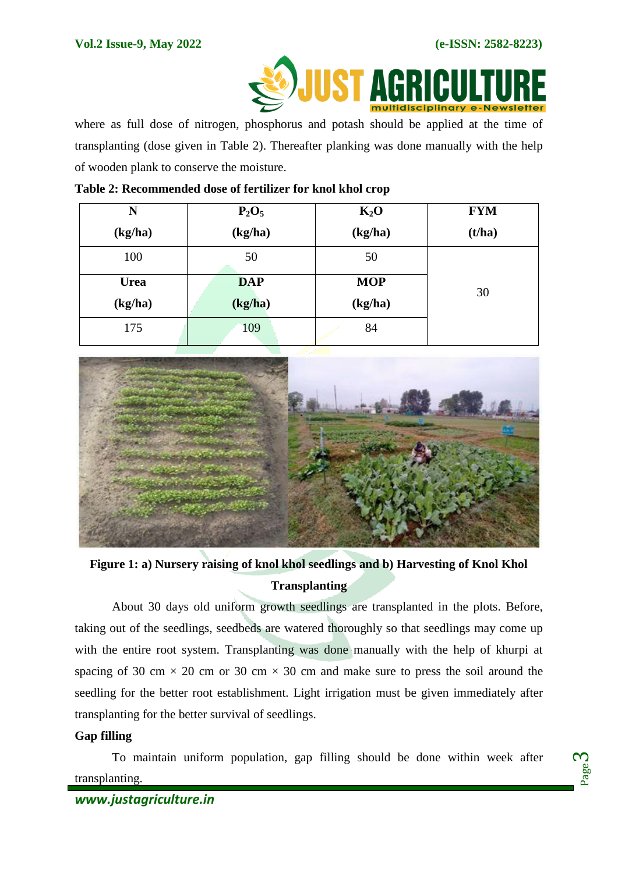

where as full dose of nitrogen, phosphorus and potash should be applied at the time of transplanting (dose given in Table 2). Thereafter planking was done manually with the help of wooden plank to conserve the moisture.

| N           | $P_2O_5$   | $K_2O$     | <b>FYM</b> |
|-------------|------------|------------|------------|
| (kg/ha)     | (kg/ha)    | (kg/ha)    | (t/ha)     |
| 100         | 50         | 50         |            |
| <b>Urea</b> | <b>DAP</b> | <b>MOP</b> | 30         |
| (kg/ha)     | (kg/ha)    | (kg/ha)    |            |
| 175         | 109        | 84         |            |

## **Table 2: Recommended dose of fertilizer for knol khol crop**



**Figure 1: a) Nursery raising of knol khol seedlings and b) Harvesting of Knol Khol Transplanting**

About 30 days old uniform growth seedlings are transplanted in the plots. Before, taking out of the seedlings, seedbeds are watered thoroughly so that seedlings may come up with the entire root system. Transplanting was done manually with the help of khurpi at spacing of 30 cm  $\times$  20 cm or 30 cm  $\times$  30 cm and make sure to press the soil around the seedling for the better root establishment. Light irrigation must be given immediately after transplanting for the better survival of seedlings.

# **Gap filling**

To maintain uniform population, gap filling should be done within week after transplanting.